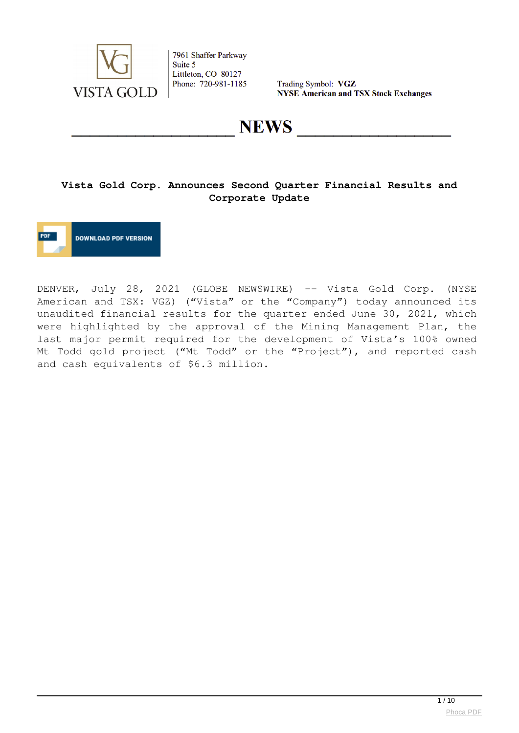

Trading Symbol: VGZ **NYSE American and TSX Stock Exchanges** 

**NEWS** 

# **Vista Gold Corp. Announces Second Quarter Financial Results and Corporate Update**



DENVER, July 28, 2021 (GLOBE NEWSWIRE) -- Vista Gold Corp. (NYSE American and TSX: VGZ) ("Vista" or the "Company") today announced its unaudited financial results for the quarter ended June 30, 2021, which were highlighted by the approval of the Mining Management Plan, the last major permit required for the development of Vista's 100% owned Mt Todd gold project ("Mt Todd" or the "Project"), and reported cash and cash equivalents of \$6.3 million.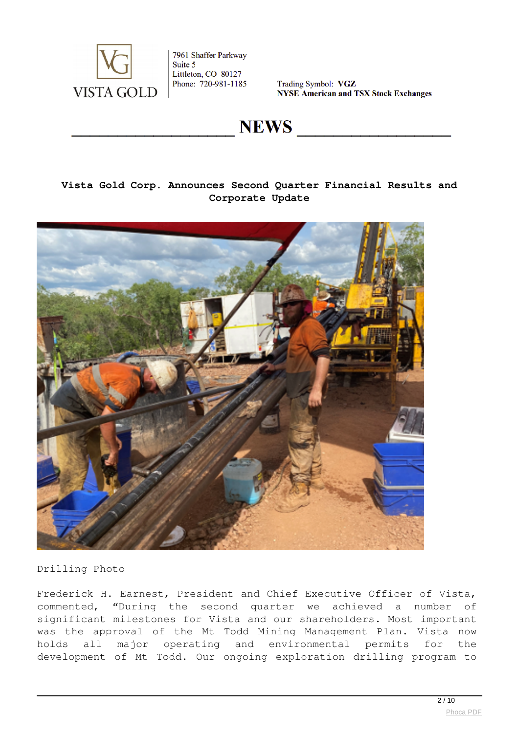

Trading Symbol: VGZ **NYSE American and TSX Stock Exchanges** 

**NEWS** 

# **Vista Gold Corp. Announces Second Quarter Financial Results and Corporate Update**



Drilling Photo

Frederick H. Earnest, President and Chief Executive Officer of Vista, commented, "During the second quarter we achieved a number of significant milestones for Vista and our shareholders. Most important was the approval of the Mt Todd Mining Management Plan. Vista now holds all major operating and environmental permits for the development of Mt Todd. Our ongoing exploration drilling program to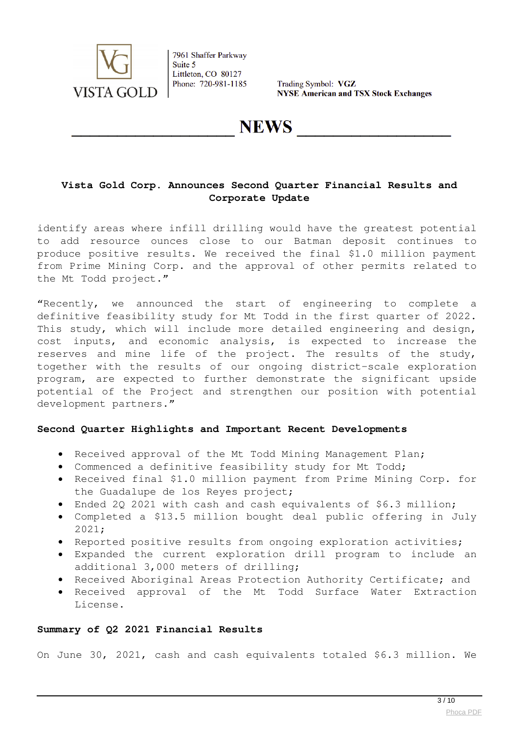

Trading Symbol: VGZ **NYSE American and TSX Stock Exchanges** 

**NEWS** 

# **Vista Gold Corp. Announces Second Quarter Financial Results and Corporate Update**

identify areas where infill drilling would have the greatest potential to add resource ounces close to our Batman deposit continues to produce positive results. We received the final \$1.0 million payment from Prime Mining Corp. and the approval of other permits related to the Mt Todd project."

"Recently, we announced the start of engineering to complete a definitive feasibility study for Mt Todd in the first quarter of 2022. This study, which will include more detailed engineering and design, cost inputs, and economic analysis, is expected to increase the reserves and mine life of the project. The results of the study, together with the results of our ongoing district-scale exploration program, are expected to further demonstrate the significant upside potential of the Project and strengthen our position with potential development partners."

## **Second Quarter Highlights and Important Recent Developments**

- Received approval of the Mt Todd Mining Management Plan;
- Commenced a definitive feasibility study for Mt Todd;
- Received final \$1.0 million payment from Prime Mining Corp. for the Guadalupe de los Reyes project;
- Ended 2Q 2021 with cash and cash equivalents of \$6.3 million;
- Completed a \$13.5 million bought deal public offering in July 2021;
- Reported positive results from ongoing exploration activities;
- Expanded the current exploration drill program to include an additional 3,000 meters of drilling;
- Received Aboriginal Areas Protection Authority Certificate; and
- Received approval of the Mt Todd Surface Water Extraction License.

#### **Summary of Q2 2021 Financial Results**

On June 30, 2021, cash and cash equivalents totaled \$6.3 million. We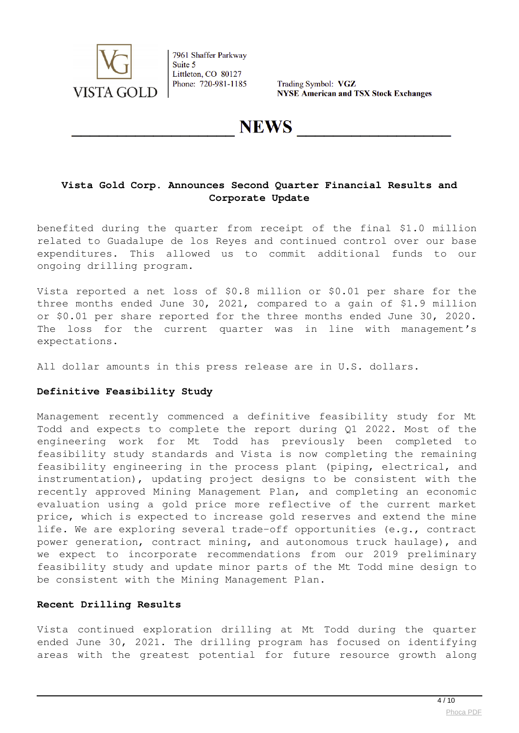

Trading Symbol: VGZ **NYSE American and TSX Stock Exchanges** 

**NEWS** 

# **Vista Gold Corp. Announces Second Quarter Financial Results and Corporate Update**

benefited during the quarter from receipt of the final \$1.0 million related to Guadalupe de los Reyes and continued control over our base expenditures. This allowed us to commit additional funds to our ongoing drilling program.

Vista reported a net loss of \$0.8 million or \$0.01 per share for the three months ended June 30, 2021, compared to a gain of \$1.9 million or \$0.01 per share reported for the three months ended June 30, 2020. The loss for the current quarter was in line with management's expectations.

All dollar amounts in this press release are in U.S. dollars.

### **Definitive Feasibility Study**

Management recently commenced a definitive feasibility study for Mt Todd and expects to complete the report during Q1 2022. Most of the engineering work for Mt Todd has previously been completed to feasibility study standards and Vista is now completing the remaining feasibility engineering in the process plant (piping, electrical, and instrumentation), updating project designs to be consistent with the recently approved Mining Management Plan, and completing an economic evaluation using a gold price more reflective of the current market price, which is expected to increase gold reserves and extend the mine life. We are exploring several trade-off opportunities (e.g., contract power generation, contract mining, and autonomous truck haulage), and we expect to incorporate recommendations from our 2019 preliminary feasibility study and update minor parts of the Mt Todd mine design to be consistent with the Mining Management Plan.

## **Recent Drilling Results**

Vista continued exploration drilling at Mt Todd during the quarter ended June 30, 2021. The drilling program has focused on identifying areas with the greatest potential for future resource growth along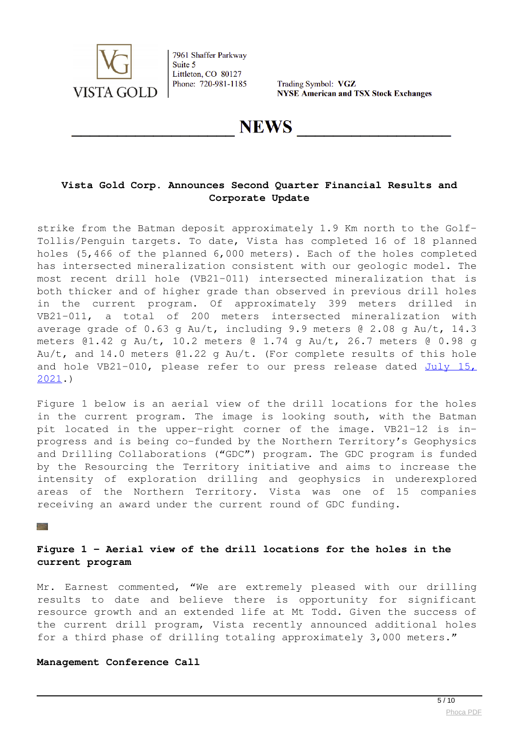

Trading Symbol: VGZ **NYSE American and TSX Stock Exchanges** 

# **NEWS**

# **Vista Gold Corp. Announces Second Quarter Financial Results and Corporate Update**

strike from the Batman deposit approximately 1.9 Km north to the Golf-Tollis/Penguin targets. To date, Vista has completed 16 of 18 planned holes (5,466 of the planned 6,000 meters). Each of the holes completed has intersected mineralization consistent with our geologic model. The most recent drill hole (VB21-011) intersected mineralization that is both thicker and of higher grade than observed in previous drill holes in the current program. Of approximately 399 meters drilled in VB21-011, a total of 200 meters intersected mineralization with average grade of 0.63 g Au/t, including 9.9 meters @ 2.08 g Au/t, 14.3 meters @1.42 g Au/t, 10.2 meters @ 1.74 g Au/t, 26.7 meters @ 0.98 g Au/t, and 14.0 meters @1.22 g Au/t. (For complete results of this hole and hole VB21-010, please refer to our press release dated [July 15,](https://www.globenewswire.com/Tracker?data=vNVgjIaJtuPYP0tMRGrQMZqpVOjc68gOesnRizgU-k8BCsRuCbg9Rd2Gq_XkAU4GfHa4U76Wf2wJU_GcPKZU4dOMIEYtnNKGNAKfQCDceOBBSAdt6aNydyc5D_HgBI2EThwJU9ysPKKiZZ5Lz-LSoo_ATR94alYB19gti6pylJygQnT1P3O7fOdHYNqdfJjA3SKX2THMlAJBYLR0Fl7P5g==) [2021](https://www.globenewswire.com/Tracker?data=vNVgjIaJtuPYP0tMRGrQMZqpVOjc68gOesnRizgU-k8BCsRuCbg9Rd2Gq_XkAU4GfHa4U76Wf2wJU_GcPKZU4dOMIEYtnNKGNAKfQCDceOBBSAdt6aNydyc5D_HgBI2EThwJU9ysPKKiZZ5Lz-LSoo_ATR94alYB19gti6pylJygQnT1P3O7fOdHYNqdfJjA3SKX2THMlAJBYLR0Fl7P5g==).)

Figure 1 below is an aerial view of the drill locations for the holes in the current program. The image is looking south, with the Batman pit located in the upper-right corner of the image. VB21-12 is inprogress and is being co-funded by the Northern Territory's Geophysics and Drilling Collaborations ("GDC") program. The GDC program is funded by the Resourcing the Territory initiative and aims to increase the intensity of exploration drilling and geophysics in underexplored areas of the Northern Territory. Vista was one of 15 companies receiving an award under the current round of GDC funding.

#### $\mathbb{Z}^{\mathbb{Z}^{\times 2}}$

# **Figure 1 - Aerial view of the drill locations for the holes in the current program**

Mr. Earnest commented, "We are extremely pleased with our drilling results to date and believe there is opportunity for significant resource growth and an extended life at Mt Todd. Given the success of the current drill program, Vista recently announced additional holes for a third phase of drilling totaling approximately 3,000 meters."

#### **Management Conference Call**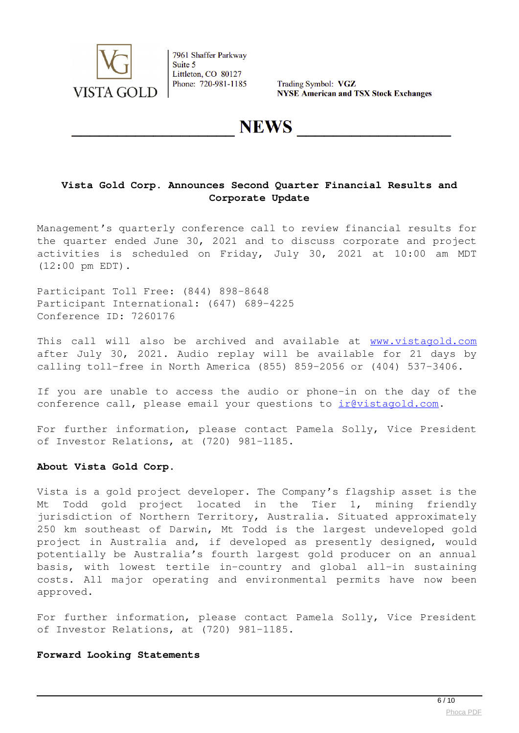

Trading Symbol: VGZ **NYSE American and TSX Stock Exchanges** 

# **NEWS**

# **Vista Gold Corp. Announces Second Quarter Financial Results and Corporate Update**

Management's quarterly conference call to review financial results for the quarter ended June 30, 2021 and to discuss corporate and project activities is scheduled on Friday, July 30, 2021 at 10:00 am MDT (12:00 pm EDT).

Participant Toll Free: (844) 898-8648 Participant International: (647) 689-4225 Conference ID: 7260176

This call will also be archived and available at [www.vistagold.com](https://www.globenewswire.com/Tracker?data=m3douIfE1OS9SHerR_PRCkZvV0nlEpEKwH8mZRSKkRr65vHMct98eYhs3q-irBvW_OhYtjer7p7eNvXFHm2LjQ==) after July 30, 2021. Audio replay will be available for 21 days by calling toll-free in North America (855) 859-2056 or (404) 537-3406.

If you are unable to access the audio or phone-in on the day of the conference call, please email your questions to irevistagold.com.

For further information, please contact Pamela Solly, Vice President of Investor Relations, at (720) 981-1185.

### **About Vista Gold Corp.**

Vista is a gold project developer. The Company's flagship asset is the Mt Todd gold project located in the Tier 1, mining friendly jurisdiction of Northern Territory, Australia. Situated approximately 250 km southeast of Darwin, Mt Todd is the largest undeveloped gold project in Australia and, if developed as presently designed, would potentially be Australia's fourth largest gold producer on an annual basis, with lowest tertile in-country and global all-in sustaining costs. All major operating and environmental permits have now been approved.

For further information, please contact Pamela Solly, Vice President of Investor Relations, at (720) 981-1185.

### **Forward Looking Statements**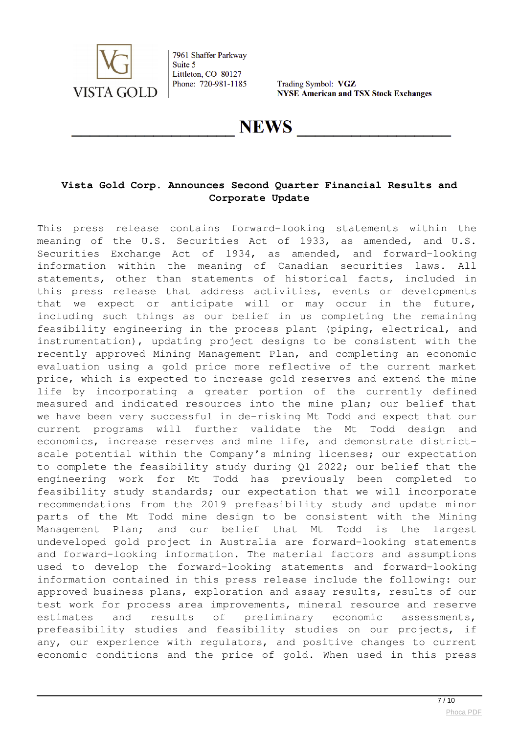

Trading Symbol: VGZ **NYSE American and TSX Stock Exchanges** 

**NEWS** 

# **Vista Gold Corp. Announces Second Quarter Financial Results and Corporate Update**

This press release contains forward-looking statements within the meaning of the U.S. Securities Act of 1933, as amended, and U.S. Securities Exchange Act of 1934, as amended, and forward-looking information within the meaning of Canadian securities laws. All statements, other than statements of historical facts, included in this press release that address activities, events or developments that we expect or anticipate will or may occur in the future, including such things as our belief in us completing the remaining feasibility engineering in the process plant (piping, electrical, and instrumentation), updating project designs to be consistent with the recently approved Mining Management Plan, and completing an economic evaluation using a gold price more reflective of the current market price, which is expected to increase gold reserves and extend the mine life by incorporating a greater portion of the currently defined measured and indicated resources into the mine plan; our belief that we have been very successful in de-risking Mt Todd and expect that our current programs will further validate the Mt Todd design and economics, increase reserves and mine life, and demonstrate districtscale potential within the Company's mining licenses; our expectation to complete the feasibility study during Q1 2022; our belief that the engineering work for Mt Todd has previously been completed to feasibility study standards; our expectation that we will incorporate recommendations from the 2019 prefeasibility study and update minor parts of the Mt Todd mine design to be consistent with the Mining Management Plan; and our belief that Mt Todd is the largest undeveloped gold project in Australia are forward-looking statements and forward-looking information. The material factors and assumptions used to develop the forward-looking statements and forward-looking information contained in this press release include the following: our approved business plans, exploration and assay results, results of our test work for process area improvements, mineral resource and reserve estimates and results of preliminary economic assessments, prefeasibility studies and feasibility studies on our projects, if any, our experience with regulators, and positive changes to current economic conditions and the price of gold. When used in this press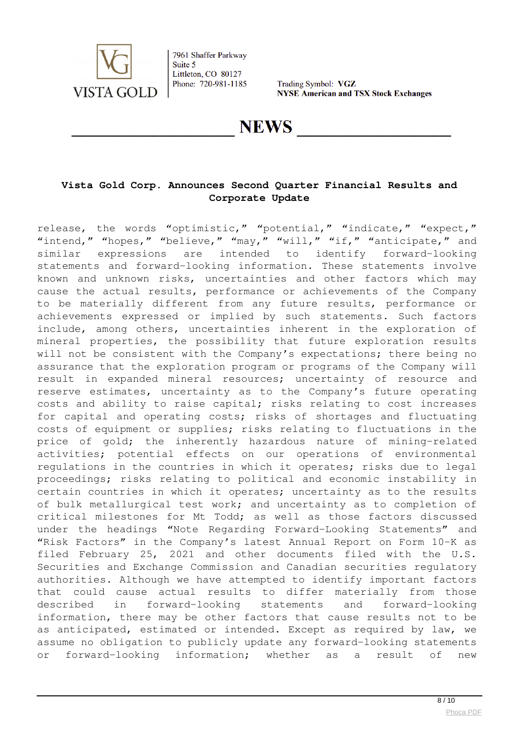

Trading Symbol: VGZ **NYSE American and TSX Stock Exchanges** 

**NEWS** 

# **Vista Gold Corp. Announces Second Quarter Financial Results and Corporate Update**

release, the words "optimistic," "potential," "indicate," "expect," "intend," "hopes," "believe," "may," "will," "if," "anticipate," and similar expressions are intended to identify forward-looking statements and forward-looking information. These statements involve known and unknown risks, uncertainties and other factors which may cause the actual results, performance or achievements of the Company to be materially different from any future results, performance or achievements expressed or implied by such statements. Such factors include, among others, uncertainties inherent in the exploration of mineral properties, the possibility that future exploration results will not be consistent with the Company's expectations; there being no assurance that the exploration program or programs of the Company will result in expanded mineral resources; uncertainty of resource and reserve estimates, uncertainty as to the Company's future operating costs and ability to raise capital; risks relating to cost increases for capital and operating costs; risks of shortages and fluctuating costs of equipment or supplies; risks relating to fluctuations in the price of gold; the inherently hazardous nature of mining-related activities; potential effects on our operations of environmental regulations in the countries in which it operates; risks due to legal proceedings; risks relating to political and economic instability in certain countries in which it operates; uncertainty as to the results of bulk metallurgical test work; and uncertainty as to completion of critical milestones for Mt Todd; as well as those factors discussed under the headings "Note Regarding Forward-Looking Statements" and "Risk Factors" in the Company's latest Annual Report on Form 10-K as filed February 25, 2021 and other documents filed with the U.S. Securities and Exchange Commission and Canadian securities regulatory authorities. Although we have attempted to identify important factors that could cause actual results to differ materially from those described in forward-looking statements and forward-looking information, there may be other factors that cause results not to be as anticipated, estimated or intended. Except as required by law, we assume no obligation to publicly update any forward-looking statements or forward-looking information; whether as a result of new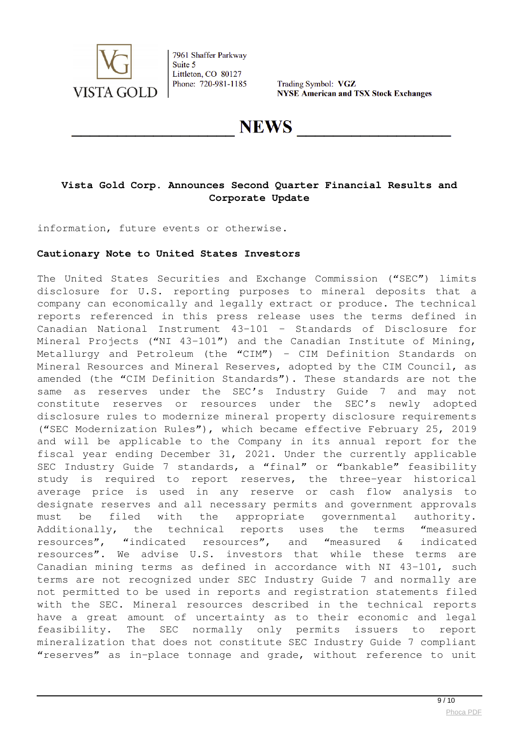

Trading Symbol: VGZ **NYSE American and TSX Stock Exchanges** 

# **NEWS**

# **Vista Gold Corp. Announces Second Quarter Financial Results and Corporate Update**

information, future events or otherwise.

## **Cautionary Note to United States Investors**

The United States Securities and Exchange Commission ("SEC") limits disclosure for U.S. reporting purposes to mineral deposits that a company can economically and legally extract or produce. The technical reports referenced in this press release uses the terms defined in Canadian National Instrument 43-101 – Standards of Disclosure for Mineral Projects ("NI 43-101") and the Canadian Institute of Mining, Metallurgy and Petroleum (the "CIM") – CIM Definition Standards on Mineral Resources and Mineral Reserves, adopted by the CIM Council, as amended (the "CIM Definition Standards"). These standards are not the same as reserves under the SEC's Industry Guide 7 and may not constitute reserves or resources under the SEC's newly adopted disclosure rules to modernize mineral property disclosure requirements ("SEC Modernization Rules"), which became effective February 25, 2019 and will be applicable to the Company in its annual report for the fiscal year ending December 31, 2021. Under the currently applicable SEC Industry Guide 7 standards, a "final" or "bankable" feasibility study is required to report reserves, the three-year historical average price is used in any reserve or cash flow analysis to designate reserves and all necessary permits and government approvals must be filed with the appropriate governmental authority. Additionally, the technical reports uses the terms "measured resources", "indicated resources", and "measured & indicated resources". We advise U.S. investors that while these terms are Canadian mining terms as defined in accordance with NI 43-101, such terms are not recognized under SEC Industry Guide 7 and normally are not permitted to be used in reports and registration statements filed with the SEC. Mineral resources described in the technical reports have a great amount of uncertainty as to their economic and legal feasibility. The SEC normally only permits issuers to report mineralization that does not constitute SEC Industry Guide 7 compliant "reserves" as in-place tonnage and grade, without reference to unit